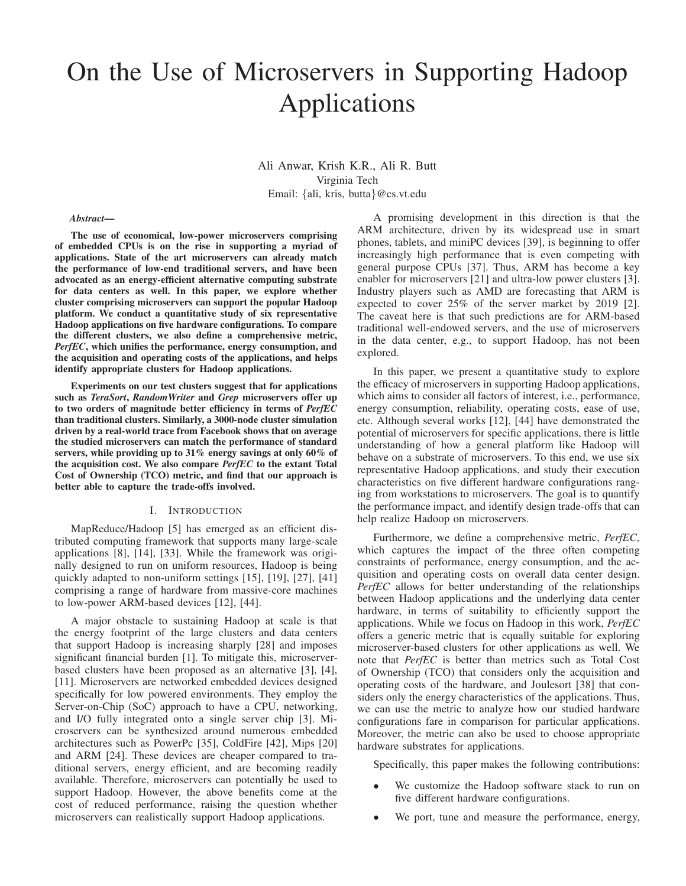# On the Use of Microservers in Supporting Hadoop Applications

Ali Anwar, Krish K.R., Ali R. Butt Virginia Tech Email: {ali, kris, butta}@cs.vt.edu

#### *Abstract***—**

**The use of economical, low-power microservers comprising of embedded CPUs is on the rise in supporting a myriad of applications. State of the art microservers can already match the performance of low-end traditional servers, and have been advocated as an energy-efficient alternative computing substrate for data centers as well. In this paper, we explore whether cluster comprising microservers can support the popular Hadoop platform. We conduct a quantitative study of six representative Hadoop applications on five hardware configurations. To compare the different clusters, we also define a comprehensive metric,** *PerfEC***, which unifies the performance, energy consumption, and the acquisition and operating costs of the applications, and helps identify appropriate clusters for Hadoop applications.**

**Experiments on our test clusters suggest that for applications such as** *TeraSort***,** *RandomWriter* **and** *Grep* **microservers offer up to two orders of magnitude better efficiency in terms of** *PerfEC* **than traditional clusters. Similarly, a 3000-node cluster simulation driven by a real-world trace from Facebook shows that on average the studied microservers can match the performance of standard servers, while providing up to 31% energy savings at only 60% of the acquisition cost. We also compare** *PerfEC* **to the extant Total Cost of Ownership (TCO) metric, and find that our approach is better able to capture the trade-offs involved.**

### I. INTRODUCTION

MapReduce/Hadoop [5] has emerged as an efficient distributed computing framework that supports many large-scale applications [8], [14], [33]. While the framework was originally designed to run on uniform resources, Hadoop is being quickly adapted to non-uniform settings [15], [19], [27], [41] comprising a range of hardware from massive-core machines to low-power ARM-based devices [12], [44].

A major obstacle to sustaining Hadoop at scale is that the energy footprint of the large clusters and data centers that support Hadoop is increasing sharply [28] and imposes significant financial burden [1]. To mitigate this, microserverbased clusters have been proposed as an alternative [3], [4], [11]. Microservers are networked embedded devices designed specifically for low powered environments. They employ the Server-on-Chip (SoC) approach to have a CPU, networking, and I/O fully integrated onto a single server chip [3]. Microservers can be synthesized around numerous embedded architectures such as PowerPc [35], ColdFire [42], Mips [20] and ARM [24]. These devices are cheaper compared to traditional servers, energy efficient, and are becoming readily available. Therefore, microservers can potentially be used to support Hadoop. However, the above benefits come at the cost of reduced performance, raising the question whether microservers can realistically support Hadoop applications.

A promising development in this direction is that the ARM architecture, driven by its widespread use in smart phones, tablets, and miniPC devices [39], is beginning to offer increasingly high performance that is even competing with general purpose CPUs [37]. Thus, ARM has become a key enabler for microservers [21] and ultra-low power clusters [3]. Industry players such as AMD are forecasting that ARM is expected to cover 25% of the server market by 2019 [2]. The caveat here is that such predictions are for ARM-based traditional well-endowed servers, and the use of microservers in the data center, e.g., to support Hadoop, has not been explored.

In this paper, we present a quantitative study to explore the efficacy of microservers in supporting Hadoop applications, which aims to consider all factors of interest, i.e., performance, energy consumption, reliability, operating costs, ease of use, etc. Although several works [12], [44] have demonstrated the potential of microservers for specific applications, there is little understanding of how a general platform like Hadoop will behave on a substrate of microservers. To this end, we use six representative Hadoop applications, and study their execution characteristics on five different hardware configurations ranging from workstations to microservers. The goal is to quantify the performance impact, and identify design trade-offs that can help realize Hadoop on microservers.

Furthermore, we define a comprehensive metric, *PerfEC*, which captures the impact of the three often competing constraints of performance, energy consumption, and the acquisition and operating costs on overall data center design. *PerfEC* allows for better understanding of the relationships between Hadoop applications and the underlying data center hardware, in terms of suitability to efficiently support the applications. While we focus on Hadoop in this work, *PerfEC* offers a generic metric that is equally suitable for exploring microserver-based clusters for other applications as well. We note that *PerfEC* is better than metrics such as Total Cost of Ownership (TCO) that considers only the acquisition and operating costs of the hardware, and Joulesort [38] that considers only the energy characteristics of the applications. Thus, we can use the metric to analyze how our studied hardware configurations fare in comparison for particular applications. Moreover, the metric can also be used to choose appropriate hardware substrates for applications.

Specifically, this paper makes the following contributions:

- We customize the Hadoop software stack to run on five different hardware configurations.
- We port, tune and measure the performance, energy,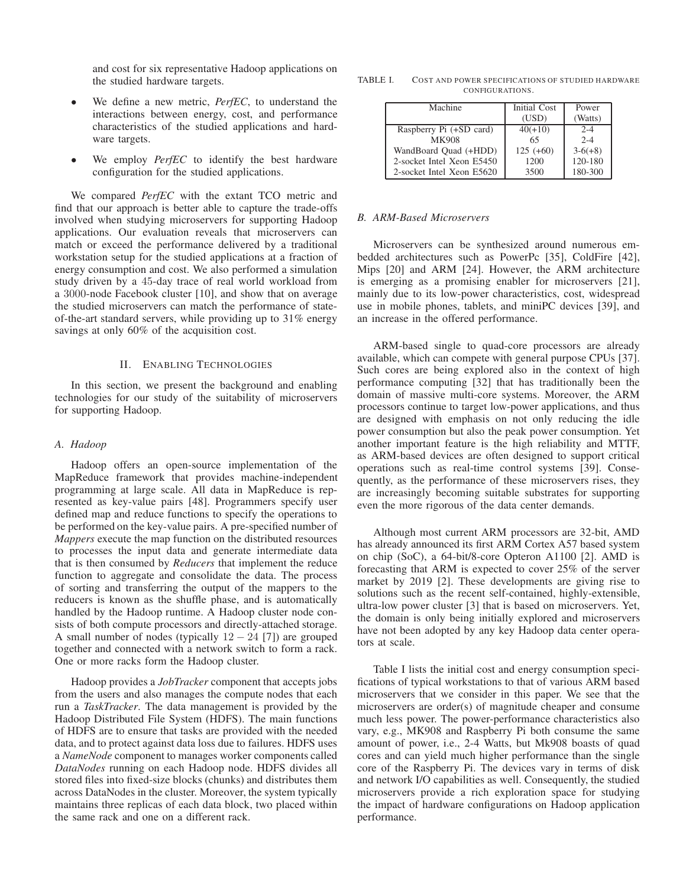and cost for six representative Hadoop applications on the studied hardware targets.

- We define a new metric, *PerfEC*, to understand the interactions between energy, cost, and performance characteristics of the studied applications and hardware targets.
- We employ *PerfEC* to identify the best hardware configuration for the studied applications.

We compared *PerfEC* with the extant TCO metric and find that our approach is better able to capture the trade-offs involved when studying microservers for supporting Hadoop applications. Our evaluation reveals that microservers can match or exceed the performance delivered by a traditional workstation setup for the studied applications at a fraction of energy consumption and cost. We also performed a simulation study driven by a 45-day trace of real world workload from a 3000-node Facebook cluster [10], and show that on average the studied microservers can match the performance of stateof-the-art standard servers, while providing up to 31% energy savings at only 60% of the acquisition cost.

## II. ENABLING TECHNOLOGIES

In this section, we present the background and enabling technologies for our study of the suitability of microservers for supporting Hadoop.

## *A. Hadoop*

Hadoop offers an open-source implementation of the MapReduce framework that provides machine-independent programming at large scale. All data in MapReduce is represented as key-value pairs [48]. Programmers specify user defined map and reduce functions to specify the operations to be performed on the key-value pairs. A pre-specified number of *Mappers* execute the map function on the distributed resources to processes the input data and generate intermediate data that is then consumed by *Reducers* that implement the reduce function to aggregate and consolidate the data. The process of sorting and transferring the output of the mappers to the reducers is known as the shuffle phase, and is automatically handled by the Hadoop runtime. A Hadoop cluster node consists of both compute processors and directly-attached storage. A small number of nodes (typically  $12 - 24$  [7]) are grouped together and connected with a network switch to form a rack. One or more racks form the Hadoop cluster.

Hadoop provides a *JobTracker* component that accepts jobs from the users and also manages the compute nodes that each run a *TaskTracker*. The data management is provided by the Hadoop Distributed File System (HDFS). The main functions of HDFS are to ensure that tasks are provided with the needed data, and to protect against data loss due to failures. HDFS uses a *NameNode* component to manages worker components called *DataNodes* running on each Hadoop node. HDFS divides all stored files into fixed-size blocks (chunks) and distributes them across DataNodes in the cluster. Moreover, the system typically maintains three replicas of each data block, two placed within the same rack and one on a different rack.

TABLE I. COST AND POWER SPECIFICATIONS OF STUDIED HARDWARE CONFIGURATIONS.

| Machine                   | Initial Cost<br>(USD) | Power<br>(Watts) |
|---------------------------|-----------------------|------------------|
| Raspberry Pi (+SD card)   | $40(+10)$             | $2 - 4$          |
| <b>MK908</b>              | 65                    | $2 - 4$          |
| WandBoard Quad (+HDD)     | $125 (+60)$           | $3-6(+8)$        |
| 2-socket Intel Xeon E5450 | 1200                  | 120-180          |
| 2-socket Intel Xeon E5620 | 3500                  | 180-300          |

#### *B. ARM-Based Microservers*

Microservers can be synthesized around numerous embedded architectures such as PowerPc [35], ColdFire [42], Mips [20] and ARM [24]. However, the ARM architecture is emerging as a promising enabler for microservers [21], mainly due to its low-power characteristics, cost, widespread use in mobile phones, tablets, and miniPC devices [39], and an increase in the offered performance.

ARM-based single to quad-core processors are already available, which can compete with general purpose CPUs [37]. Such cores are being explored also in the context of high performance computing [32] that has traditionally been the domain of massive multi-core systems. Moreover, the ARM processors continue to target low-power applications, and thus are designed with emphasis on not only reducing the idle power consumption but also the peak power consumption. Yet another important feature is the high reliability and MTTF, as ARM-based devices are often designed to support critical operations such as real-time control systems [39]. Consequently, as the performance of these microservers rises, they are increasingly becoming suitable substrates for supporting even the more rigorous of the data center demands.

Although most current ARM processors are 32-bit, AMD has already announced its first ARM Cortex A57 based system on chip (SoC), a 64-bit/8-core Opteron A1100 [2]. AMD is forecasting that ARM is expected to cover 25% of the server market by 2019 [2]. These developments are giving rise to solutions such as the recent self-contained, highly-extensible, ultra-low power cluster [3] that is based on microservers. Yet, the domain is only being initially explored and microservers have not been adopted by any key Hadoop data center operators at scale.

Table I lists the initial cost and energy consumption specifications of typical workstations to that of various ARM based microservers that we consider in this paper. We see that the microservers are order(s) of magnitude cheaper and consume much less power. The power-performance characteristics also vary, e.g., MK908 and Raspberry Pi both consume the same amount of power, i.e., 2-4 Watts, but Mk908 boasts of quad cores and can yield much higher performance than the single core of the Raspberry Pi. The devices vary in terms of disk and network I/O capabilities as well. Consequently, the studied microservers provide a rich exploration space for studying the impact of hardware configurations on Hadoop application performance.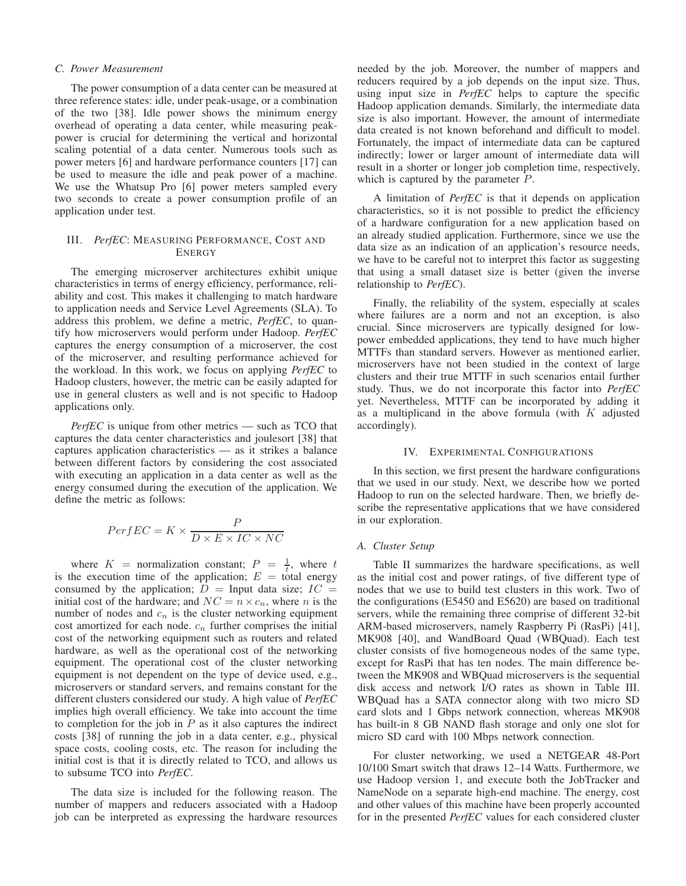## *C. Power Measurement*

The power consumption of a data center can be measured at three reference states: idle, under peak-usage, or a combination of the two [38]. Idle power shows the minimum energy overhead of operating a data center, while measuring peakpower is crucial for determining the vertical and horizontal scaling potential of a data center. Numerous tools such as power meters [6] and hardware performance counters [17] can be used to measure the idle and peak power of a machine. We use the Whatsup Pro [6] power meters sampled every two seconds to create a power consumption profile of an application under test.

# III. *PerfEC*: MEASURING PERFORMANCE, COST AND **ENERGY**

The emerging microserver architectures exhibit unique characteristics in terms of energy efficiency, performance, reliability and cost. This makes it challenging to match hardware to application needs and Service Level Agreements (SLA). To address this problem, we define a metric, *PerfEC*, to quantify how microservers would perform under Hadoop. *PerfEC* captures the energy consumption of a microserver, the cost of the microserver, and resulting performance achieved for the workload. In this work, we focus on applying *PerfEC* to Hadoop clusters, however, the metric can be easily adapted for use in general clusters as well and is not specific to Hadoop applications only.

*PerfEC* is unique from other metrics — such as TCO that captures the data center characteristics and joulesort [38] that captures application characteristics — as it strikes a balance between different factors by considering the cost associated with executing an application in a data center as well as the energy consumed during the execution of the application. We define the metric as follows:

$$
PerfEC = K \times \frac{P}{D \times E \times IC \times NC}
$$

where  $K =$  normalization constant;  $P = \frac{1}{t}$ , where t is the execution time of the application;  $E =$  total energy consumed by the application;  $D =$  Input data size;  $IC =$ initial cost of the hardware; and  $NC = n \times c_n$ , where *n* is the number of nodes and  $c_n$  is the cluster networking equipment cost amortized for each node.  $c_n$  further comprises the initial cost of the networking equipment such as routers and related hardware, as well as the operational cost of the networking equipment. The operational cost of the cluster networking equipment is not dependent on the type of device used, e.g., microservers or standard servers, and remains constant for the different clusters considered our study. A high value of *PerfEC* implies high overall efficiency. We take into account the time to completion for the job in  $P$  as it also captures the indirect costs [38] of running the job in a data center, e.g., physical space costs, cooling costs, etc. The reason for including the initial cost is that it is directly related to TCO, and allows us to subsume TCO into *PerfEC*.

The data size is included for the following reason. The number of mappers and reducers associated with a Hadoop job can be interpreted as expressing the hardware resources needed by the job. Moreover, the number of mappers and reducers required by a job depends on the input size. Thus, using input size in *PerfEC* helps to capture the specific Hadoop application demands. Similarly, the intermediate data size is also important. However, the amount of intermediate data created is not known beforehand and difficult to model. Fortunately, the impact of intermediate data can be captured indirectly; lower or larger amount of intermediate data will result in a shorter or longer job completion time, respectively, which is captured by the parameter P.

A limitation of *PerfEC* is that it depends on application characteristics, so it is not possible to predict the efficiency of a hardware configuration for a new application based on an already studied application. Furthermore, since we use the data size as an indication of an application's resource needs, we have to be careful not to interpret this factor as suggesting that using a small dataset size is better (given the inverse relationship to *PerfEC*).

Finally, the reliability of the system, especially at scales where failures are a norm and not an exception, is also crucial. Since microservers are typically designed for lowpower embedded applications, they tend to have much higher MTTFs than standard servers. However as mentioned earlier, microservers have not been studied in the context of large clusters and their true MTTF in such scenarios entail further study. Thus, we do not incorporate this factor into *PerfEC* yet. Nevertheless, MTTF can be incorporated by adding it as a multiplicand in the above formula (with  $K$  adjusted accordingly).

#### IV. EXPERIMENTAL CONFIGURATIONS

In this section, we first present the hardware configurations that we used in our study. Next, we describe how we ported Hadoop to run on the selected hardware. Then, we briefly describe the representative applications that we have considered in our exploration.

## *A. Cluster Setup*

Table II summarizes the hardware specifications, as well as the initial cost and power ratings, of five different type of nodes that we use to build test clusters in this work. Two of the configurations (E5450 and E5620) are based on traditional servers, while the remaining three comprise of different 32-bit ARM-based microservers, namely Raspberry Pi (RasPi) [41], MK908 [40], and WandBoard Quad (WBQuad). Each test cluster consists of five homogeneous nodes of the same type, except for RasPi that has ten nodes. The main difference between the MK908 and WBQuad microservers is the sequential disk access and network I/O rates as shown in Table III. WBQuad has a SATA connector along with two micro SD card slots and 1 Gbps network connection, whereas MK908 has built-in 8 GB NAND flash storage and only one slot for micro SD card with 100 Mbps network connection.

For cluster networking, we used a NETGEAR 48-Port 10/100 Smart switch that draws 12–14 Watts. Furthermore, we use Hadoop version 1, and execute both the JobTracker and NameNode on a separate high-end machine. The energy, cost and other values of this machine have been properly accounted for in the presented *PerfEC* values for each considered cluster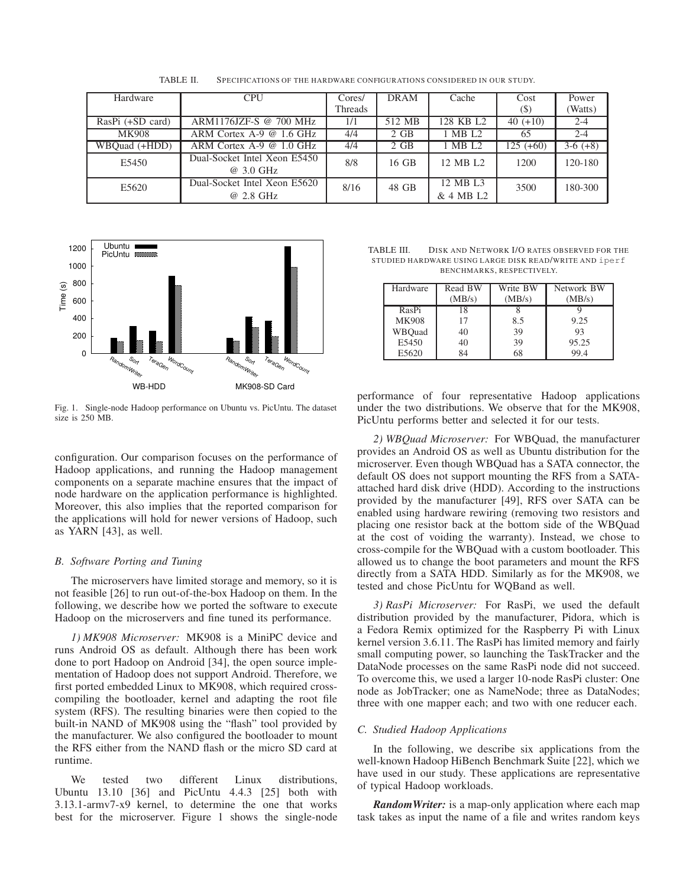| Hardware           | <b>CPU</b>                   | Cores/         | <b>DRAM</b> | Cache                | Cost        | Power      |         |
|--------------------|------------------------------|----------------|-------------|----------------------|-------------|------------|---------|
|                    |                              | <b>Threads</b> |             |                      | $(\$)$      | (Watts)    |         |
| $RasPi (+SD card)$ | ARM1176JZF-S @ 700 MHz       | 1/1            | 512 MB      | 128 KB L2            | $40 (+10)$  | $2 - 4$    |         |
| MK908              | ARM Cortex A-9 @ 1.6 GHz     | 4/4            | $2$ GB      | 1 MB L2              | 65          | $2 - 4$    |         |
| WBOuad (+HDD)      | ARM Cortex A-9 @ 1.0 GHz     | 4/4            | $2$ GB      | 1 MB L2              | $125 (+60)$ | $3-6 (+8)$ |         |
| E5450              | Dual-Socket Intel Xeon E5450 | 8/8            | 16 GB       | 12 MB L <sub>2</sub> | 1200        | 120-180    |         |
|                    | @ 3.0 GHz                    |                |             |                      |             |            |         |
| E5620              | Dual-Socket Intel Xeon E5620 |                |             | 8/16<br>48 GB        | 12 MB L3    | 3500       | 180-300 |
|                    | @ 2.8 GHz                    |                |             | & 4 MB L2            |             |            |         |

TABLE II. SPECIFICATIONS OF THE HARDWARE CONFIGURATIONS CONS IDERED IN OUR STUDY.



Fig. 1. Single-node Hadoop performance on Ubuntu vs. PicUntu. The dataset size is 250 MB

configuration. Our comparison focuses on the performance of Hadoop applications, and running the Hadoop management components on a separate machine ensures that the impact of node hardware on the application performance is highlighted. Moreover, this also implies that the reported comparison for the applications will hold for newer versions of Hadoop, such as YARN [43], as well.

## *B. Software Porting and Tuning*

The microservers have limited storage and memory, so it is not feasible [26] to run out-of-the-box Hadoop on them. In the following, we describe how we ported the software to execute Hadoop on the microservers and fine tuned its performance.

*1) MK908 Microserver:* MK908 is a MiniPC device and runs Android OS as default. Although there has been work done to port Hadoop on Android [34], the open source implementation of Hadoop does not support Android. Therefore, we first ported embedded Linux to MK908, which required crosscompiling the bootloader, kernel and adapting the root file system (RFS). The resulting binaries were then copied to the built-in NAND of MK908 using the "flash" tool provided by the manufacturer. We also configured the bootloader to mount the RFS either from the NAND flash or the micro SD card at runtime.

We tested two different Linux distributions, Ubuntu 13.10 [36] and PicUntu 4.4.3 [25] both with 3.13.1-armv7-x9 kernel, to determine the one that works best for the microserver. Figure 1 shows the single-node

| TABLE III. | DISK AND NETWORK I/O RATES OBSERVED FOR THE            |
|------------|--------------------------------------------------------|
|            | STUDIED HARDWARE USING LARGE DISK READ/WRITE AND iperf |
|            | BENCHMARKS, RESPECTIVELY.                              |

| Hardware | Read BW | Write BW | Network BW |
|----------|---------|----------|------------|
|          | (MB/s)  | (MB/s)   | (MB/s)     |
| RasPi    | 18      |          |            |
| MK908    | 17      | 8.5      | 9.25       |
| WBOuad   | 40      | 39       | 93         |
| E5450    | 40      | 39       | 95.25      |
| E5620    |         | 68       | 99.4       |

performance of four representative Hadoop applications under the two distributions. We observe that for the MK908, PicUntu performs better and selected it for our tests.

*2) WBQuad Microserver:* For WBQuad, the manufacturer provides an Android OS as well as Ubuntu distribution for the microserver. Even though WBQuad has a SATA connector, the default OS does not support mounting the RFS from a SATAattached hard disk drive (HDD). According to the instructions provided by the manufacturer [49], RFS over SATA can be enabled using hardware rewiring (removing two resistors and placing one resistor back at the bottom side of the WBQuad at the cost of voiding the warranty). Instead, we chose to cross-compile for the WBQuad with a custom bootloader. This allowed us to change the boot parameters and mount the RFS directly from a SATA HDD. Similarly as for the MK908, we tested and chose PicUntu for WQBand as well.

*3) RasPi Microserver:* For RasPi, we used the default distribution provided by the manufacturer, Pidora, which is a Fedora Remix optimized for the Raspberry Pi with Linux kernel version 3.6.11. The RasPi has limited memory and fairly small computing power, so launching the TaskTracker and the DataNode processes on the same RasPi node did not succeed. To overcome this, we used a larger 10-node RasPi cluster: One node as JobTracker; one as NameNode; three as DataNodes; three with one mapper each; and two with one reducer each.

#### *C. Studied Hadoop Applications*

In the following, we describe six applications from the well-known Hadoop HiBench Benchmark Suite [22], which we have used in our study. These applications are representative of typical Hadoop workloads.

*RandomWriter:* is a map-only application where each map task takes as input the name of a file and writes random keys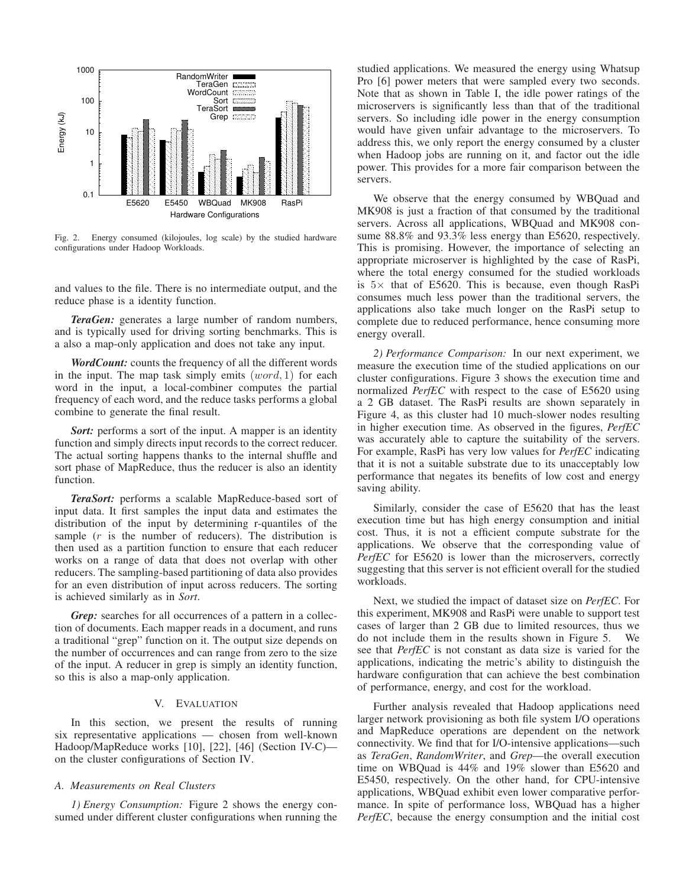

Fig. 2. Energy consumed (kilojoules, log scale) by the studied hardware configurations under Hadoop Workloads.

and values to the file. There is no intermediate output, and the reduce phase is a identity function.

*TeraGen:* generates a large number of random numbers, and is typically used for driving sorting benchmarks. This is a also a map-only application and does not take any input.

*WordCount:* counts the frequency of all the different words in the input. The map task simply emits  $(word, 1)$  for each word in the input, a local-combiner computes the partial frequency of each word, and the reduce tasks performs a global combine to generate the final result.

Sort: performs a sort of the input. A mapper is an identity function and simply directs input records to the correct reducer. The actual sorting happens thanks to the internal shuffle and sort phase of MapReduce, thus the reducer is also an identity function.

*TeraSort:* performs a scalable MapReduce-based sort of input data. It first samples the input data and estimates the distribution of the input by determining r-quantiles of the sample  $(r$  is the number of reducers). The distribution is then used as a partition function to ensure that each reducer works on a range of data that does not overlap with other reducers. The sampling-based partitioning of data also provides for an even distribution of input across reducers. The sorting is achieved similarly as in *Sort*.

*Grep:* searches for all occurrences of a pattern in a collection of documents. Each mapper reads in a document, and runs a traditional "grep" function on it. The output size depends on the number of occurrences and can range from zero to the size of the input. A reducer in grep is simply an identity function, so this is also a map-only application.

#### V. EVALUATION

In this section, we present the results of running six representative applications — chosen from well-known Hadoop/MapReduce works [10], [22], [46] (Section IV-C) on the cluster configurations of Section IV.

## *A. Measurements on Real Clusters*

*1) Energy Consumption:* Figure 2 shows the energy consumed under different cluster configurations when running the studied applications. We measured the energy using Whatsup Pro [6] power meters that were sampled every two seconds. Note that as shown in Table I, the idle power ratings of the microservers is significantly less than that of the traditional servers. So including idle power in the energy consumption would have given unfair advantage to the microservers. To address this, we only report the energy consumed by a cluster when Hadoop jobs are running on it, and factor out the idle power. This provides for a more fair comparison between the servers.

We observe that the energy consumed by WBQuad and MK908 is just a fraction of that consumed by the traditional servers. Across all applications, WBQuad and MK908 consume 88.8% and 93.3% less energy than E5620, respectively. This is promising. However, the importance of selecting an appropriate microserver is highlighted by the case of RasPi, where the total energy consumed for the studied workloads is  $5\times$  that of E5620. This is because, even though RasPi consumes much less power than the traditional servers, the applications also take much longer on the RasPi setup to complete due to reduced performance, hence consuming more energy overall.

*2) Performance Comparison:* In our next experiment, we measure the execution time of the studied applications on our cluster configurations. Figure 3 shows the execution time and normalized *PerfEC* with respect to the case of E5620 using a 2 GB dataset. The RasPi results are shown separately in Figure 4, as this cluster had 10 much-slower nodes resulting in higher execution time. As observed in the figures, *PerfEC* was accurately able to capture the suitability of the servers. For example, RasPi has very low values for *PerfEC* indicating that it is not a suitable substrate due to its unacceptably low performance that negates its benefits of low cost and energy saving ability.

Similarly, consider the case of E5620 that has the least execution time but has high energy consumption and initial cost. Thus, it is not a efficient compute substrate for the applications. We observe that the corresponding value of *PerfEC* for E5620 is lower than the microservers, correctly suggesting that this server is not efficient overall for the studied workloads.

Next, we studied the impact of dataset size on *PerfEC*. For this experiment, MK908 and RasPi were unable to support test cases of larger than 2 GB due to limited resources, thus we do not include them in the results shown in Figure 5. We see that *PerfEC* is not constant as data size is varied for the applications, indicating the metric's ability to distinguish the hardware configuration that can achieve the best combination of performance, energy, and cost for the workload.

Further analysis revealed that Hadoop applications need larger network provisioning as both file system I/O operations and MapReduce operations are dependent on the network connectivity. We find that for I/O-intensive applications—such as *TeraGen*, *RandomWriter*, and *Grep*—the overall execution time on WBQuad is 44% and 19% slower than E5620 and E5450, respectively. On the other hand, for CPU-intensive applications, WBQuad exhibit even lower comparative performance. In spite of performance loss, WBQuad has a higher *PerfEC*, because the energy consumption and the initial cost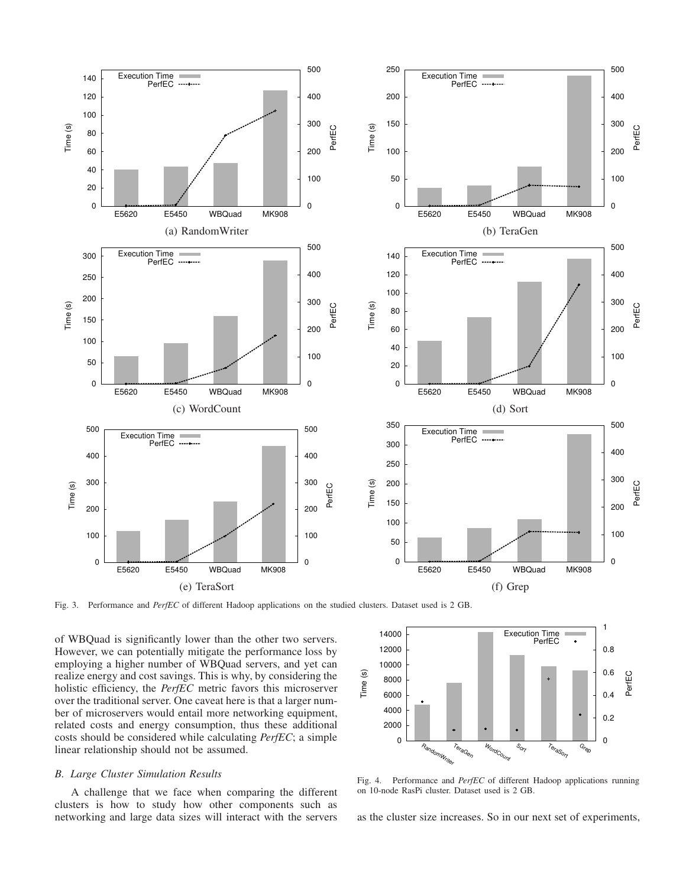

Fig. 3. Performance and *PerfEC* of different Hadoop applications on the studied clusters. Dataset used is 2 GB.

of WBQuad is significantly lower than the other two servers. However, we can potentially mitigate the performance loss by employing a higher number of WBQuad servers, and yet can realize energy and cost savings. This is why, by considering the holistic efficiency, the *PerfEC* metric favors this microserver over the traditional server. One caveat here is that a larger number of microservers would entail more networking equipment, related costs and energy consumption, thus these additional costs should be considered while calculating *PerfEC*; a simple linear relationship should not be assumed.

### *B. Large Cluster Simulation Results*

A challenge that we face when comparing the different clusters is how to study how other components such as networking and large data sizes will interact with the servers



Fig. 4. Performance and *PerfEC* of different Hadoop applications running on 10-node RasPi cluster. Dataset used is 2 GB.

as the cluster size increases. So in our next set of experiments,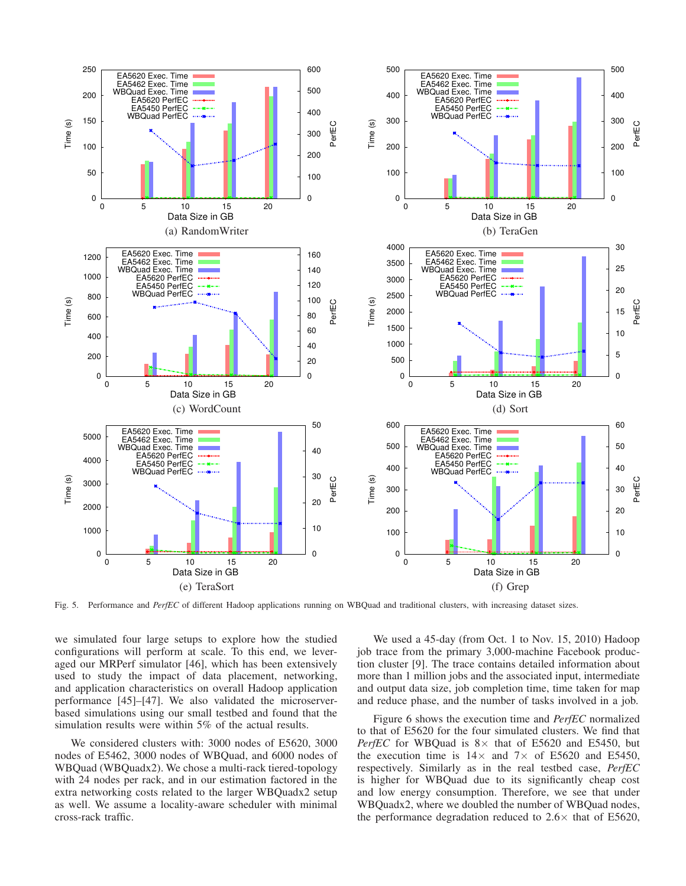

Fig. 5. Performance and *PerfEC* of different Hadoop applications running on WBQuad and traditional clusters, with increasing dataset sizes.

we simulated four large setups to explore how the studied configurations will perform at scale. To this end, we leveraged our MRPerf simulator [46], which has been extensively used to study the impact of data placement, networking, and application characteristics on overall Hadoop application performance [45]–[47]. We also validated the microserverbased simulations using our small testbed and found that the simulation results were within 5% of the actual results.

We considered clusters with: 3000 nodes of E5620, 3000 nodes of E5462, 3000 nodes of WBQuad, and 6000 nodes of WBQuad (WBQuadx2). We chose a multi-rack tiered-topology with 24 nodes per rack, and in our estimation factored in the extra networking costs related to the larger WBQuadx2 setup as well. We assume a locality-aware scheduler with minimal cross-rack traffic.

We used a 45-day (from Oct. 1 to Nov. 15, 2010) Hadoop job trace from the primary 3,000-machine Facebook production cluster [9]. The trace contains detailed information about more than 1 million jobs and the associated input, intermediate and output data size, job completion time, time taken for map and reduce phase, and the number of tasks involved in a job.

Figure 6 shows the execution time and *PerfEC* normalized to that of E5620 for the four simulated clusters. We find that *PerfEC* for WBQuad is  $8 \times$  that of E5620 and E5450, but the execution time is  $14\times$  and  $7\times$  of E5620 and E5450, respectively. Similarly as in the real testbed case, *PerfEC* is higher for WBQuad due to its significantly cheap cost and low energy consumption. Therefore, we see that under WBQuadx2, where we doubled the number of WBQuad nodes, the performance degradation reduced to  $2.6\times$  that of E5620,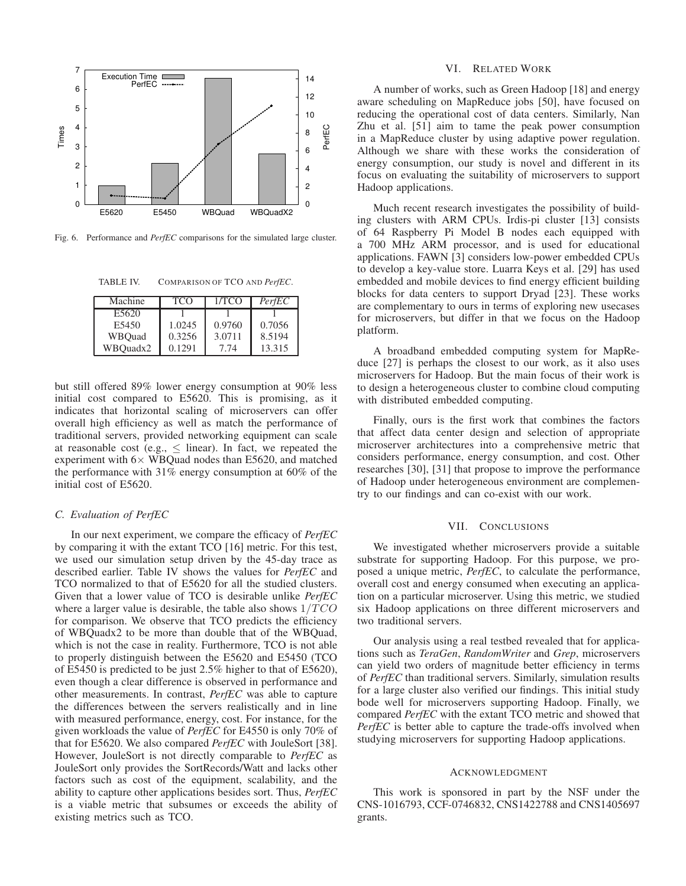

Fig. 6. Performance and *PerfEC* comparisons for the simulated large cluster.

TABLE IV. COMPARISON OF TCO AND *PerfEC*.

| Machine  | <b>TCO</b> | 1/TCO  | PerfEC |
|----------|------------|--------|--------|
| E5620    |            |        |        |
| E5450    | 1.0245     | 0.9760 | 0.7056 |
| WBOuad   | 0.3256     | 3.0711 | 8.5194 |
| WBQuadx2 | 0.1291     | 7 74   | 13.315 |

but still offered 89% lower energy consumption at 90% less initial cost compared to E5620. This is promising, as it indicates that horizontal scaling of microservers can offer overall high efficiency as well as match the performance of traditional servers, provided networking equipment can scale at reasonable cost (e.g.,  $\leq$  linear). In fact, we repeated the experiment with  $6\times$  WBQuad nodes than E5620, and matched the performance with 31% energy consumption at 60% of the initial cost of E5620.

## *C. Evaluation of PerfEC*

In our next experiment, we compare the efficacy of *PerfEC* by comparing it with the extant TCO [16] metric. For this test, we used our simulation setup driven by the 45-day trace as described earlier. Table IV shows the values for *PerfEC* and TCO normalized to that of E5620 for all the studied clusters. Given that a lower value of TCO is desirable unlike *PerfEC* where a larger value is desirable, the table also shows  $1/TCO$ for comparison. We observe that TCO predicts the efficiency of WBQuadx2 to be more than double that of the WBQuad, which is not the case in reality. Furthermore, TCO is not able to properly distinguish between the E5620 and E5450 (TCO of E5450 is predicted to be just 2.5% higher to that of E5620), even though a clear difference is observed in performance and other measurements. In contrast, *PerfEC* was able to capture the differences between the servers realistically and in line with measured performance, energy, cost. For instance, for the given workloads the value of *PerfEC* for E4550 is only 70% of that for E5620. We also compared *PerfEC* with JouleSort [38]. However, JouleSort is not directly comparable to *PerfEC* as JouleSort only provides the SortRecords/Watt and lacks other factors such as cost of the equipment, scalability, and the ability to capture other applications besides sort. Thus, *PerfEC* is a viable metric that subsumes or exceeds the ability of existing metrics such as TCO.

#### VI. RELATED WORK

A number of works, such as Green Hadoop [18] and energy aware scheduling on MapReduce jobs [50], have focused on reducing the operational cost of data centers. Similarly, Nan Zhu et al. [51] aim to tame the peak power consumption in a MapReduce cluster by using adaptive power regulation. Although we share with these works the consideration of energy consumption, our study is novel and different in its focus on evaluating the suitability of microservers to support Hadoop applications.

Much recent research investigates the possibility of building clusters with ARM CPUs. Irdis-pi cluster [13] consists of 64 Raspberry Pi Model B nodes each equipped with a 700 MHz ARM processor, and is used for educational applications. FAWN [3] considers low-power embedded CPUs to develop a key-value store. Luarra Keys et al. [29] has used embedded and mobile devices to find energy efficient building blocks for data centers to support Dryad [23]. These works are complementary to ours in terms of exploring new usecases for microservers, but differ in that we focus on the Hadoop platform.

A broadband embedded computing system for MapReduce [27] is perhaps the closest to our work, as it also uses microservers for Hadoop. But the main focus of their work is to design a heterogeneous cluster to combine cloud computing with distributed embedded computing.

Finally, ours is the first work that combines the factors that affect data center design and selection of appropriate microserver architectures into a comprehensive metric that considers performance, energy consumption, and cost. Other researches [30], [31] that propose to improve the performance of Hadoop under heterogeneous environment are complementry to our findings and can co-exist with our work.

#### VII. CONCLUSIONS

We investigated whether microservers provide a suitable substrate for supporting Hadoop. For this purpose, we proposed a unique metric, *PerfEC*, to calculate the performance, overall cost and energy consumed when executing an application on a particular microserver. Using this metric, we studied six Hadoop applications on three different microservers and two traditional servers.

Our analysis using a real testbed revealed that for applications such as *TeraGen*, *RandomWriter* and *Grep*, microservers can yield two orders of magnitude better efficiency in terms of *PerfEC* than traditional servers. Similarly, simulation results for a large cluster also verified our findings. This initial study bode well for microservers supporting Hadoop. Finally, we compared *PerfEC* with the extant TCO metric and showed that *PerfEC* is better able to capture the trade-offs involved when studying microservers for supporting Hadoop applications.

#### ACKNOWLEDGMENT

This work is sponsored in part by the NSF under the CNS-1016793, CCF-0746832, CNS1422788 and CNS1405697 grants.